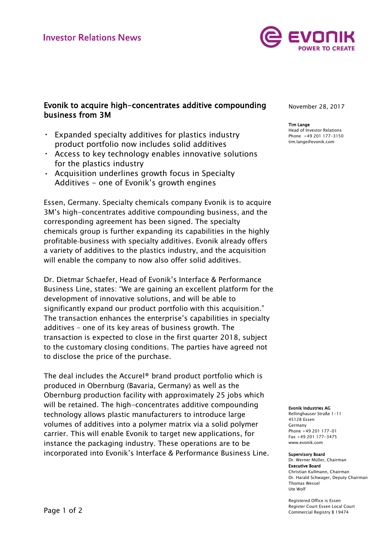

# Evonik to acquire high-concentrates additive compounding business from 3M

- Expanded specialty additives for plastics industry product portfolio now includes solid additives
- Access to key technology enables innovative solutions for the plastics industry
- Acquisition underlines growth focus in Specialty Additives - one of Evonik's growth engines

Essen, Germany. Specialty chemicals company Evonik is to acquire 3M's high-concentrates additive compounding business, and the corresponding agreement has been signed. The specialty chemicals group is further expanding its capabilities in the highly profitable business with specialty additives. Evonik already offers a variety of additives to the plastics industry, and the acquisition will enable the company to now also offer solid additives.

Dr. Dietmar Schaefer, Head of Evonik's Interface & Performance Business Line, states: "We are gaining an excellent platform for the development of innovative solutions, and will be able to significantly expand our product portfolio with this acquisition." The transaction enhances the enterprise's capabilities in specialty additives – one of its key areas of business growth. The transaction is expected to close in the first quarter 2018, subject to the customary closing conditions. The parties have agreed not to disclose the price of the purchase.

The deal includes the Accurel® brand product portfolio which is produced in Obernburg (Bavaria, Germany) as well as the Obernburg production facility with approximately 25 jobs which will be retained. The high-concentrates additive compounding technology allows plastic manufacturers to introduce large volumes of additives into a polymer matrix via a solid polymer carrier. This will enable Evonik to target new applications, for instance the packaging industry. These operations are to be incorporated into Evonik's Interface & Performance Business Line. November 28, 2017

## Tim Lange

Head of Investor Relations Phone +49 201 177-3150 tim.lange@evonik.com

### Evonik Industries AG

Rellinghauser Straße 1-11 45128 Essen Germany Phone +49 201 177-01 Fax +49 201 177-3475 www.evonik.com

Ute Wolf

#### Supervisory Board Dr. Werner Müller, Chairman Executive Board Christian Kullmann, Chairman Dr. Harald Schwager, Deputy Chairman Thomas Wessel

Registered Office is Essen Register Court Essen Local Court Commercial Registry B 19474